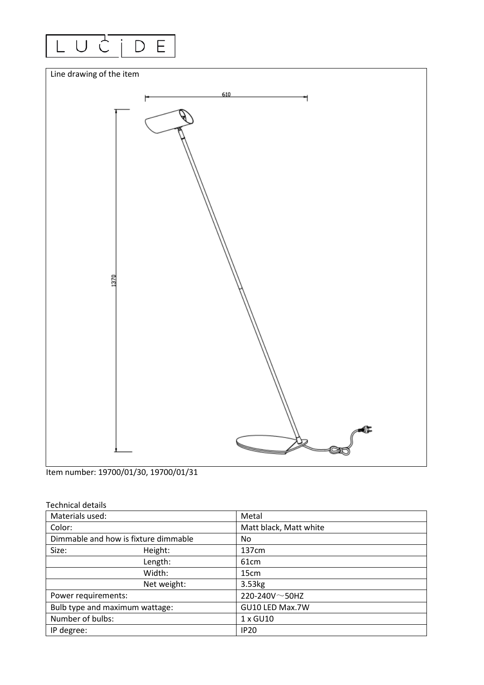



Item number: 19700/01/30, 19700/01/31

| <b>Technical details</b> |  |
|--------------------------|--|
|--------------------------|--|

| Materials used:                |                                      | Metal                  |  |
|--------------------------------|--------------------------------------|------------------------|--|
| Color:                         |                                      | Matt black, Matt white |  |
|                                | Dimmable and how is fixture dimmable | No.                    |  |
| Size:                          | Height:                              | 137cm                  |  |
|                                | Length:                              | 61 <sub>cm</sub>       |  |
|                                | Width:                               | 15cm                   |  |
|                                | Net weight:                          | 3.53kg                 |  |
| Power requirements:            |                                      | 220-240V $\sim$ 50HZ   |  |
| Bulb type and maximum wattage: |                                      | GU10 LED Max.7W        |  |
| Number of bulbs:               |                                      | 1 x GU10               |  |
| IP degree:                     |                                      | <b>IP20</b>            |  |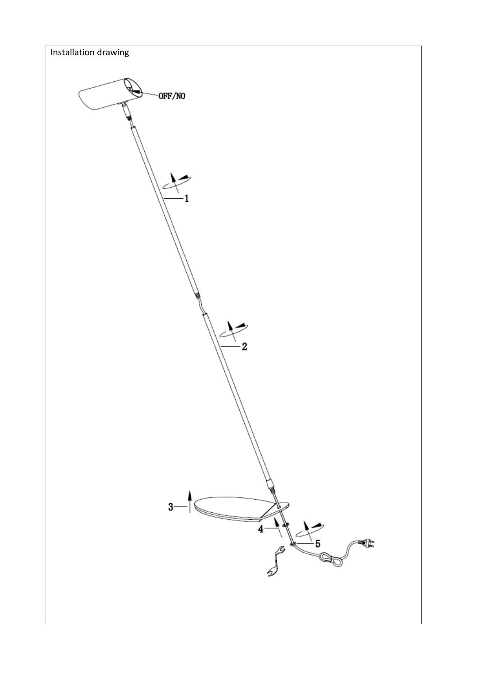